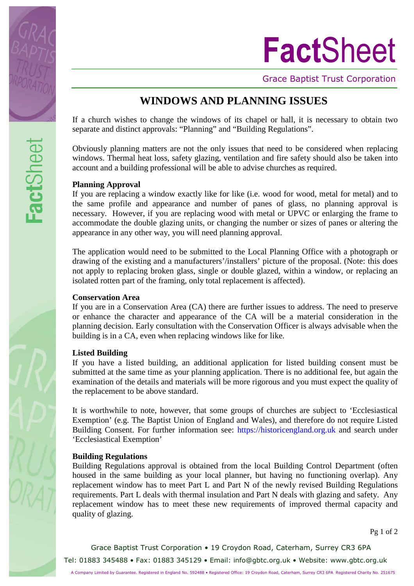

# **Fact**Sheet

Grace Baptist Trust Corporation

# **WINDOWS AND PLANNING ISSUES**

If a church wishes to change the windows of its chapel or hall, it is necessary to obtain two separate and distinct approvals: "Planning" and "Building Regulations".

Obviously planning matters are not the only issues that need to be considered when replacing windows. Thermal heat loss, safety glazing, ventilation and fire safety should also be taken into account and a building professional will be able to advise churches as required.

## **Planning Approval**

If you are replacing a window exactly like for like (i.e. wood for wood, metal for metal) and to the same profile and appearance and number of panes of glass, no planning approval is necessary. However, if you are replacing wood with metal or UPVC or enlarging the frame to accommodate the double glazing units, or changing the number or sizes of panes or altering the appearance in any other way, you will need planning approval.

The application would need to be submitted to the Local Planning Office with a photograph or drawing of the existing and a manufacturers'/installers' picture of the proposal. (Note: this does not apply to replacing broken glass, single or double glazed, within a window, or replacing an isolated rotten part of the framing, only total replacement is affected).

#### **Conservation Area**

If you are in a Conservation Area (CA) there are further issues to address. The need to preserve or enhance the character and appearance of the CA will be a material consideration in the planning decision. Early consultation with the Conservation Officer is always advisable when the building is in a CA, even when replacing windows like for like.

## **Listed Building**

If you have a listed building, an additional application for listed building consent must be submitted at the same time as your planning application. There is no additional fee, but again the examination of the details and materials will be more rigorous and you must expect the quality of the replacement to be above standard.

It is worthwhile to note, however, that some groups of churches are subject to 'Ecclesiastical Exemption' (e.g. The Baptist Union of England and Wales), and therefore do not require Listed Building Consent. For further information see: [https://historicengland.org.uk](https://historicengland.org.uk/) and search under 'Ecclesiastical Exemption'

## **Building Regulations**

Building Regulations approval is obtained from the local Building Control Department (often housed in the same building as your local planner, but having no functioning overlap). Any replacement window has to meet Part L and Part N of the newly revised Building Regulations requirements. Part L deals with thermal insulation and Part N deals with glazing and safety. Any replacement window has to meet these new requirements of improved thermal capacity and quality of glazing.

Pg 1 of 2

Grace Baptist Trust Corporation • 19 Croydon Road, Caterham, Surrey CR3 6PA Tel: 01883 345488 • Fax: 01883 345129 • Email: [info@gbtc.org.uk](mailto:info@gbtc.org.uk) • Website: www.gbtc.org.uk